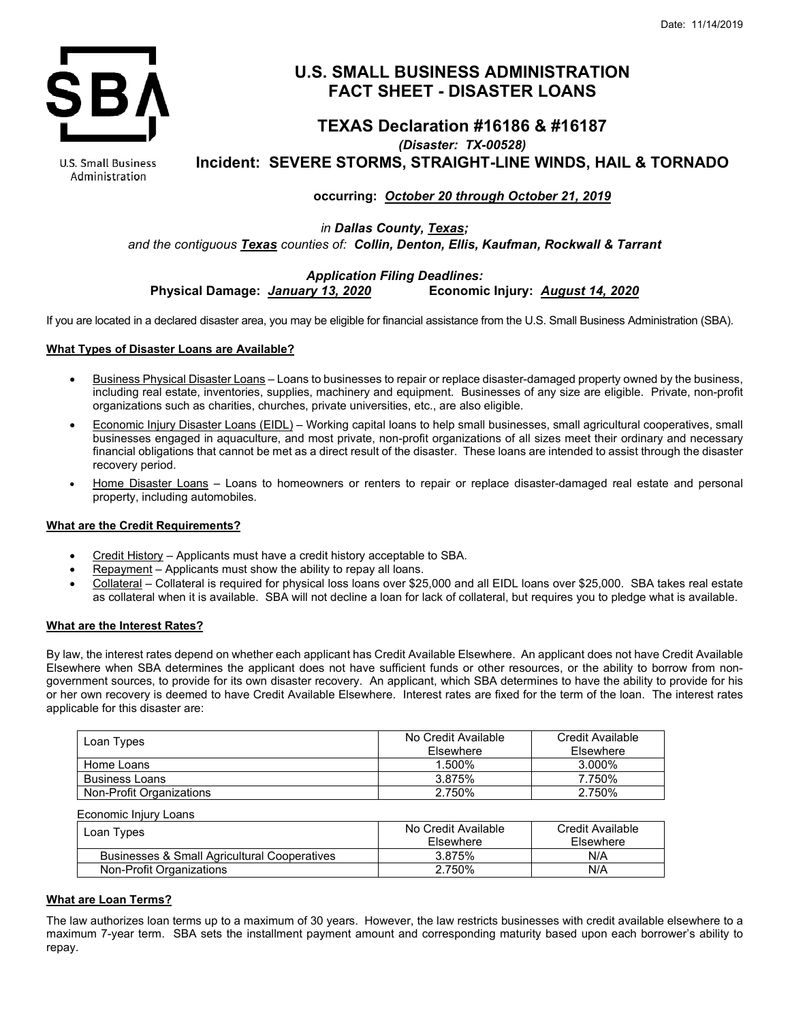

# **U.S. SMALL BUSINESS ADMINISTRATION FACT SHEET - DISASTER LOANS**

# **TEXAS Declaration #16186 & #16187** *(Disaster: TX-00528)* **Incident: SEVERE STORMS, STRAIGHT-LINE WINDS, HAIL & TORNADO**

**U.S. Small Business** Administration

# **occurring:** *October 20 through October 21, 2019*

*in Dallas County, Texas; and the contiguous Texas counties of: Collin, Denton, Ellis, Kaufman, Rockwall & Tarrant*

# *Application Filing Deadlines:* **Physical Damage:** *January 13, 2020*

If you are located in a declared disaster area, you may be eligible for financial assistance from the U.S. Small Business Administration (SBA).

## **What Types of Disaster Loans are Available?**

- Business Physical Disaster Loans Loans to businesses to repair or replace disaster-damaged property owned by the business, including real estate, inventories, supplies, machinery and equipment. Businesses of any size are eligible. Private, non-profit organizations such as charities, churches, private universities, etc., are also eligible.
- Economic Injury Disaster Loans (EIDL) Working capital loans to help small businesses, small agricultural cooperatives, small businesses engaged in aquaculture, and most private, non-profit organizations of all sizes meet their ordinary and necessary financial obligations that cannot be met as a direct result of the disaster. These loans are intended to assist through the disaster recovery period.
- Home Disaster Loans Loans to homeowners or renters to repair or replace disaster-damaged real estate and personal property, including automobiles.

### **What are the Credit Requirements?**

- Credit History Applicants must have a credit history acceptable to SBA.
- Repayment Applicants must show the ability to repay all loans.
- Collateral Collateral is required for physical loss loans over \$25,000 and all EIDL loans over \$25,000. SBA takes real estate as collateral when it is available. SBA will not decline a loan for lack of collateral, but requires you to pledge what is available.

### **What are the Interest Rates?**

By law, the interest rates depend on whether each applicant has Credit Available Elsewhere. An applicant does not have Credit Available Elsewhere when SBA determines the applicant does not have sufficient funds or other resources, or the ability to borrow from nongovernment sources, to provide for its own disaster recovery. An applicant, which SBA determines to have the ability to provide for his or her own recovery is deemed to have Credit Available Elsewhere. Interest rates are fixed for the term of the loan. The interest rates applicable for this disaster are:

| Loan Types               | No Credit Available<br><b>Fisewhere</b> | Credit Available<br><b>Fisewhere</b> |
|--------------------------|-----------------------------------------|--------------------------------------|
| Home Loans               | 1.500%                                  | 3.000%                               |
| <b>Business Loans</b>    | 3.875%                                  | 7.750%                               |
| Non-Profit Organizations | 2.750%                                  | 2.750%                               |

Economic Injury Loans

| No Credit Available<br>Elsewhere | Credit Available<br>Elsewhere |
|----------------------------------|-------------------------------|
| 3.875%                           | N/A                           |
| 2.750%                           | N/A                           |
|                                  |                               |

### **What are Loan Terms?**

The law authorizes loan terms up to a maximum of 30 years. However, the law restricts businesses with credit available elsewhere to a maximum 7-year term. SBA sets the installment payment amount and corresponding maturity based upon each borrower's ability to repay.